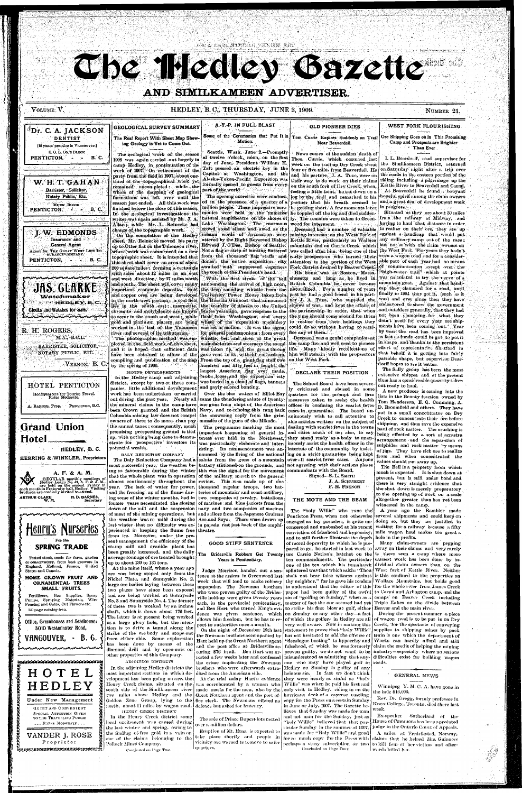AGO A SAGUATITANA VANDUL RET

**3 ' . l 'l '** 

# **AND SIMILKAMEEN ADVERTISER.**

*i* \

# VOLUME V. HERRICH STRAIN HERE R. HEDLEY, B. C., THURSDAY, JUNE 3, 1909. NUMBER 1909. NUMBER 21.

**w. H. T. G A H AN**  Barrister, Solicitor, Notary Public, Etc.

MURK BLOCK

**J. W. EDMONDS**  Insurance and General Agent Agent for THK GREAT WEST LIFE IN. SUHANCE-COJIPANY. PENTICTON, **B. C.** 

**UHS, GENRI** 

**Glocks and Watches for Sale.** nanammmmmmmmmmm

**Watchmaker** WEARNEDDEY, B.C.

PENTICTON,

R. H: ROGERS,

*t* 

"

B. C.

PENTICTON, - - B.C.

#### **<sup>l</sup>Dr. C. A. JACKSON**  DENTIST GEOLOGICAL SURVEY SUMMARY The Real Report With Sheet Map Show-

[18 years' practice in Vancouver.] S. O. L. Co.'s BLOCK ing- Geology is Yet to Come Out.

M.A.,' B.CL: BARRISTER, SOLICITOR, 'NOTARY PUBLIC, ETC. .

•VERNON, *B.* C.

The geological work of the season 1908 was again carried out largely in camp Hedley, in continuation of the work of 1907. 'On retirement of the party from the field in 1907,, about onethird of the topographical work yet remained uncompleted : while the whole of the mapping of geological formations was left over until the season just ended. All this work was finished before the close of this season. In the geological investigations the writer was again assisted by Mr. J. A. Allan;- while Mr.-L. Reinecke had

charge of the topographic work. On the completion of the Hedley sheet, Mr. Reinecke moved his party up to Otter flat on the Tula meen river, where work was commenced on a new topographic sheet. It is intended that this sheet shall cover an area of about 200 square miles ; forming a rectangle with sides about 12 miles in an east and west direction, by 17 miles north and south. The sheet will cover many ^important econpmic deposits. Gold and copper ores are being developed. in the north-west portion; *iv* coal field lies in the south east; magnetite, chromite and molybdenite are known to occur in the south and west; while gold and platinum placers, are being worked in - the \* bed of the Tulameen river and' several of its tributaries. The photographic method, was.em ployed in the field work of this sheet, mailufacturies and steamers the sound and it is hoped that sufficient data have been obtained to allow of the compiling and publication of the map<br>by the enting of 1909 by the spring of 1909.

Seattle, Wash. June'2.—Piomptly al twelve o'clock,, noon, on the first day of June, President William H. Taft pressed an electric key in the Capitol at Washington, and the Alaska-Yukon-Pacific Exposition was formally opened to guests from every part.of the world from the second of the

million people. These impressive cere-be getting short. A few moments later monies were held in the' immense he toppled off the log and died suddennatural ampitheatre on the shores of ly. The remains were taken to Green-News comes of the sudden death of Thos. Currie, which occurred last week on the trail up Dry Creek about four or five miles from Beaverdell. He and his partner, J. A. Tuzo, were on their way to do work on their claims on the south fork of Dry Creek, when, feeling a little faint, he sat down on a log by the trail and remarked to his partner that his breath seemed to

> Deceased had a number of valuable mining-interests on the West Fork of Kettle River, particularly on Wallace mountain and on Currie Creek which was called after him, being one of the early- prospectors who turned their attention to the portion of the'West Fork district drained by Beaver Creek. His home was at Boston, Massa-

The opening exercises were conducted in the presence of a quarter of a Lake Washington. The enormous wood for interment. crowd stood silent and awed as the solemn words of Invocation were uttered by the Right Reverend Bishop Edward J. O'Dea, Bishop of Seattle. Not a flag or strip of bunting fluttered from the thousand flag staffs and dones: the entire exposition city awaited with suppressed eagerness "the touch of the President's hand.

'With the first stroke "of"the' bell announcing the arrival of high noon, the deep sounding whistle from the University Power House taken from the Russian Gunboat- that announced the transfer of Alaska to the United States years ago, gave response to the flash from Washington, and every wheel of the exposition machinery was set in motion. It was the signal for general pandemonium : from every whistle, bell and siren of the great was taken up, and the great throng gave vent to its witheld enthusiasm. From the top of a giant flag staff two hundred and fifty feet in height, the largest American flag ever made, broke loose, and the exposition city

A. F. & A. M. monthly meetings of No. 43, A, F, & A, M. Hedley Lodge No. 43, A. F. & A. M., each month in Friday in the second Friday in brethren are cordially invited to attend. ARTHUR CLARE H. D. BARNES, W. M. Secretary

#### A.-Y.-P. IN FULL BLAST

#### Some of the Ceremonies that Put It in Motion.

Columbia mining law does not compel the answering reply from the grim animously wish to call attention to owners of these to do more than pay the annual taxes ; consequently, much promising prospecting ground is tied up, with nothing being done to demonstrate for prospective investors its potential wealth.

from ice. Moreover, under the present management the efficiency of the stamp mill and cyanide plant has been greatly increased, and the daily average tonnage of ore treated brought up to about 130 to 135 tons.

Tom Currie Expires Suddenly on Trail Near Beaverdell.

HOTEL PENTICTON

Headquarters for Tourist Travel. Rates Moderate.

BARNES, Prop. PENTICTON, B.C.



HERRING &;WINKLER, Proprietors

The Daly Reduction Company had a most successful year, the weather being so favourable during the winter this was the signal for the movement communicate with the Board. that the whole plant was in operation of the military, march to the general almost continuously throughout the review. This was made up of one year. The lack of water for power, and the freezing up of the flume dur-  $\vert$ ing some of the winter months, had in two companies of cavalry, battalions former years necessitated the closing of marines and blue jackets from the down of the mill and the suspension navy and two companies of marines of most of the mining operations, but and sailors from the Japanese Cruisers the weather was so mild during the  $\Delta$  aso and Soya. These were drawn up last winter that no difficulty was experienced in keeping the flume free theatre.



Fertilizers, Boo Supplies, Spray Pumps, Spraying Materials, Wire Fencing and Gates, Cut Flowers etc. 1-10 page catalog free.

chusetts and long as he lived in British Columbia ;he . never became naturalized. For a number of years past he had a good friend in his partner J. A. Tuzo, who supplied the sinews of war, and kept the affairs of the partnership in order, that when the time should come around for them to realize from their holdings they could do'so without having to sacrifice any of them.



**VANCOUVER, - B. 6.** 

Deceased was a genial companion at the camp fire and well used to pioneer life. Many kindly recollections of him will remain with the propsectors on the West Fork.

#### DECLARE THEIR POSITION

out during the past year. Nearly all came the thundering salute of twenty-<br>the mineral claims in the cannibate (and wine of the during of the during of the during of the during of the during of the during of the during of the mineral claims in the camp have one guns from ships of the American officer in confining the scarlet fever D. Broomfield and others. They have been Crown granted and the British Navy, and re-echoing this rang back cases in quarantine. The board un-Over the blue waters of Elliot Bay quarters for the prompt and firm lists in the Bounty function owned by The programme marking the most dealing with scarlet fever in the towns terest ever held, in the Northwest, they stand ready as a body to unanesting. Its commencement was an- interests of the community by insistnounced by the firing of the national ing on a strict quarantine being kept salute from the guns of a mountain over all scarlet fever cases. Anyone battery stationed on the grounds, and not agreeing with their actions please The School Board have been severely criticised- and abused in some, able articles written on the subject of imously assist the health, officer in the Signed-S. L. SMITH J. A. SCHUBERT F.H. FRENCH

#### OLD PIONEER DIES | WEST FORK FLOURISHING

MIXING DEVELOPMENTS

In the Hedley camp and adjoining district, except by two or:three companies, little additional development work has been undertaken or carried

VAND.ER J. ROSE Proprieto r r<sup>os</sup> de la completa de la completa de la completa de la completa de la completa de la completa de la completa<br>Es

At the mine itself, where a year ago ore was being stoped only from the Nickel Plate, and Sunnyside No. 2, large ore bodies laying between these two places have since been exposed and are being worked at Sunnyside No. 3 and Sunnyside No. 4. The former of these two is worked by an incline shaft, which is down about 175 feet. The latter is at present being worked as a large glory hole, but the intention is to drive a tunnel along the strike of the ore body and stope out from either side. Some exploration has been done by means of the diamond drill and by open-cuts on other properties of this Company.

ADJOINING DISTRICTS

DALY REDUCTION COMPANY

In the Henry Creek district some local excitement was caused during the last winter and spring, owing to the finding of-free gold in a vein on one of the claims belonging to the Pollock Alines Company. Continued on Pnge Two.

Eruption of Mt. Etna is expected to take place shortly and people in vicinity are warned to remove to safer quarters.

#### THE MOTE AND THE BEAM

and Ben Hart who turned King's evi- to strike his first blow at golf, either Beaver and the main river. dence was given sentence, which on Sunday or any other day—a fact The "holy Willie" who runs the conviction of falsehood and hypocrisy; and to still further illustrate the depth  $|$  hole in the profits. of moral depravity to which he is prethy neighbor," for he gave his readers to understand that the editor of this paper had been guilty of the awful of which the golfers in Hedley are all  $\mid$ statement to prove that "holy Willie" has not hesitated to add the offense of "decalogue busting" to hypocrisy and misunderstood as admitting that any-

one who may have played golf in one who may have played golf in roads. heiney on sunday is guity of any  $t_{\rm max}$  were nearly as sinful as  $t_{\rm max}$ they were nearly as sinful as "holy

Willie" was when he paid his first and only visit to Hedley, riding in on the hurricane deck of a cayense rustling copy for the Press on a certain Sunday in June or July, 1907. The Gazette believes that Sunday was made for man and not man for the Sunday, just as holy Willie" believed that that par-

ticular Sunday in the summer of 1907, was made for "Holy Willie" and good Concluded on Page Four.

and cities south of us; also, to say being effected by a sort of arrastra put in-a small concontrator on Dry Creek to concentrate their ore before shipping, and thus save the expensive haul of rock matter. The crushing is arrangement and the separation of sulphides and rock matter by means of jigs. They have rich ore to realize from and when concentrated the values should run away up.

was buried in a cloud of flags, banners and gayly colored bunting.

muzzles of the guns of the Mikado.

important happening of general inwas particularly elaborate and inter-

I. L. Beardorffy road supervisor for the Similkameen District, returned on Saturday night after a trip over the roads in the eastern portion of the riding including a pilgrimage up the Kettle River to Beaverdell and Carmi. At Beaverdell he found a bouyant hopeful spirit among the claim owners and a great deal of development work in progress.

thousand regular troops, two batteries of mountain and coast artillery, in parade rest just back of the amphi-

#### GOOD STIFF SENTENCE

Situated as they are about 50 miles from the railway at Midway, and having to haul that distance in order. to realize on their' ore, they are up against a handicap that would put any ordinary camp out of the race; but not so'with the claim owners on the West Fork. For years they hadn't. even a wagon road and for a considerable part of each year had no means of communication except over the "high-water trail" which at points was calculated to try the nerve of a mountain goat. Against that handicap they clamored for a road, until finally in 1904 they got it, (such as it was) and ever since then they have endeavored to show the government and outsiders generally, that they had not been clamoring for what they didn't need for every year ore shipments have been coming out. Year by year the road has been improved as fast as funds could be got to put it in shape an d thanks to the persistent effort of representative Shatford in that behalf it is getting into fairly passable shape, but supervisor Deardorff hopes to see it better.

out ready to haul.<br>A new producer is coming into the lists in the Bounty fraction owned by

Winnipeg Y. M. C. A. haye gone in the hole \$16,000.

for so–much copy for the Press with claims that he helped Alts. Guinness tion or two|to kill four of her victims and after-Ex-speaker Sutherland of the-House of Commons has been appointed judge in the Ontario Court of Appeals. A sailor at Fredrikstad, Norway, wards killed her.

#### Ore Shipping Goes on in This Promising Camp and Prospects are Brighter ' Than Ever

The Bridesville Robbers Get Twenty Years in Penitentiary.

**a>°** 

\*tf

*tt at st at st* 

*as as as as ss K as ss 3S SS as st* 

Under New Management

QUIET AND CONVENIENT SPECIAL ATTENTION GIVEN TO THE TRAVELLING PUBLIC. ..... RATES MODERATE.....



*St S3 S3* 

*S3 S3*  **Si**  *S3 S3*  JIT *S3* 

*S3 S3 S3*  In the adjoining Hedley districts the. most important sections in which development has been going on are, the Henry Creek claims, situated on the south side of the Siniilkaineen river two miles above Hedley and the Golden Zone Group, lying to the north, about 11 miles by wagon road. HENRY CREEK DISTRICT

Judge Morrison handed out a sentence at the assizes in Greenwood last week that will tend to make robbery unpopular. The Newman brothers who were proven guilty of the Bridesville hold-up were given twenty years each, in the provincial penitentiary, allows him freedom, but he has to report to authorities once a month.

On the night of December 19th last the Newman brothers accompanied by Hart held up the Great Northern agent and the post office at Bridesville securing \$76 in all. Ben Hart was arrested a few weeks later and confessed the crime implicating the Newman brothers who were afterwards extra-

dited from the American side. At the trial today Hart's evidence was corroborated by a woman who made masks for the men, also by the Great Northern agent and the post office clerk. The Newmans offered no

The sale of Prince Rupert lots netted over a million dollars.

very well aware . Now in making this Creek, 'for the spectacle of conveying declaring the complete of the was formerly claim the credit of helping the mining missimon, of which he was formerly chain the creative herping the intimity<br>proven guilty, we do not want to be industry—especially where no serious During the present summer a piece of wagon road is to be put in on Dry supplies to shipping mines by pack train is one which the department of Works can hardly afford and still difficulties exist for building wagon

#### GENERAL NEWS

The Sally group has been the most extensive shipper and at the present time has a considerable quantity taken

The Bell is a property from which much is expected. It is shut down at present, but is still under bond and there is very straight evidence that the shut down is merely preparatory to the opening up of work on a scale altogether greater than has yet been witnessed in the camp. .

Penticton Press, when not otherwise several shipments and could keep on engaged as lay preacher, is quite un- doing so, but they are justified in concerned and unabashed at his recent waiting for a railway because a fifty A year ago the Rambler made mile wagon haul makes too great a

pared to go, he started in last week to away on their claims and very rarely use Carrie Nation's hatchet on the is there seen a camp where more ten commandments. The particular earnest work has been done by inone of the ten which his tomahawk dividual claim owners than on thesplintered was that which saith: "Thou  $\vert$  West-fork of Kettle–River.—Neither shalt not bear false witness against is this confined to the properties on  $\frac{1}{2}$  and  $\frac{1}{2}$  on Sunday," when as a camps on Beaver Creek including matter of fact the one accused had yet Triple Lakes on the divide between Many claim-owners are pegging Walhice Mountains, but holds good for the whole river from James Creek to Carmi and Arlington camp, and the

> Rev. Dr. Gregg, formly professor in Knox College, Toronto, died there last, week.

**I** 

**.-i.** *•••.'&* 

defence but asked for leniency.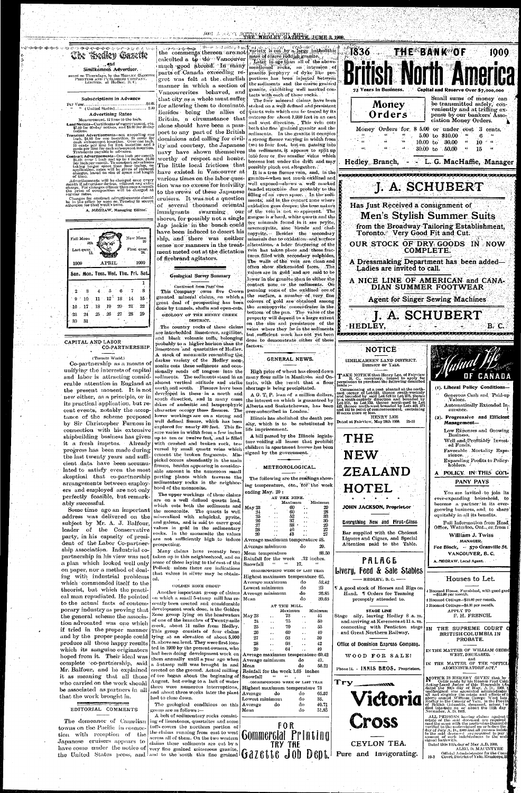# KNI ARAK ATTENAR TELEV GAZETTE JUME 3, 1909.



#### Subscriptions in Advance

(United States)..................... 2.50

#### **Advertising Rates** Measurement, 12 lines to the inch.

Land Notices-Cortificates of napprovement, etc.<br>\$7.00 for 60-day notices, and \$5.00 for 30-day notices.

**Transient Advertisements—not** exceeding one insertion. 25 cents for each subsequent insertion. Over one inch.<br>10 cents per line for first insertion over one inch.<br>10 cents per line for first insertion and 5<br>cents per lin

**Contract Advertisements—One in any one on**<br>Contract Advertisements—One inch per month<br>SL25; over 1 inch and up to 4 inches, \$1.00<br>per inch per month. To constant advertisers<br>taking larger space than four inches, on<br>applic of time.

Se mass.<br>Advertisements will be changed once every<br>month if advertiser desires, without any extra<br>charge. For changes oftener than once a month<br>the price of composition will be charged at<br>regular rates.

Changes for contract advertisements should<br>be in the office by noon on Tuesday to secure<br>attention for that week's issue.

A. MEGRAW, Managing Editor.



#### CAPITAL AND LABOR **CO-PARTNERSHIP**

(Toronto World.) Co-partnership as a means of unifying the interests of capital

and labor is attracting considerable attention in England at the present monent. It is not new either, as a principle, or in its practical application, but re- dikes of andesitic and lamprophyric Alberta and Saskatchewan, has been cent events, notably the accep- character occupy these fissures. The tance of the scheme proposed by Sir Christopher Furness in connection with his extensive shipbuilding business has given it a fresh impetus. Already progress has been made during the last twenty years and sufficient data have been accumulated to satisfy even the most skeptical that co-partnership arrangements between employers and employed are not only perfectly feasible, but remarkably successful. Some time ago an important address was delivered on the subject by Mr. A. J. Balfour. leader of the Conservative party, in his capacity of president of the Labor Co-partnership Association. Industrial copartnership in his view was not a plan which looked well only on paper, nor a method of dealing with industrial problems ed. which commended itself to the theorist, but which the practical man repudiated. He pointed to the actual facts of contemporary industry as proving that the general scheme the association advocated was one which if tried in the proper manner and by the proper people could produce all those happy results which its sanguine originators hoped from it. Their ideal was complete co-partnership, said Mr. Balfour, and he explained it as meaning that all those who carried on the work should be associated as partners in all that the work brought in.

, जेल्ला अव्यक्ति कल्ला the comments thereon are not calculted a to do Vancouver much good abroad. In many parts of Canada exceeding regret was felt at the churlish manner in which a section of Vancouverites behaved, and that city as a whole must suffer for allowing them to dominate. Besides being the allies of Britain, a circumstance that alone should have been a passport to any part of the British dominions and calling for civility and courtesy, the Japanese navy have shown themselves worthy of respect and honor. The little local frictions that have existed in Vancouver at various times on the labor question was no excuse for incivility to the crews of these Japanese cruisers. It was not a question of several thousand oriental immigrants swarming our shores, for possibly not a single Jap jackie in the bunch could have been induced to desert his ship, and there was neither sense nor manners in the treatment meted out at the dictation of firebrand agitators.

# Geological Survey Summary

Continued from Page One This Company owns five Crown granted mineral claims, on which a great deal of prospecting has been done by tunnels, shafts and open-cuts. GEOLOGY OF THE HENRY CREEK

DISTRICT. The country rocks of these claims are interbedded limestones, argillites, and black volcanic tuffs, belonging probably to a higher horizon than the factors. limestones and quartzities of Hedley. A stock of monzonite resembling the darker variety of the Hedley monzonite cuts these sediments and occasionally sends off tongues into the sediments. The sediments stand in an almost vertical attitude and strike north and south. Fissures have been developed in these in a north and south direction, and in many cases lower workings are on a strong and well defined fissure, which has been explored for nearly 400 feet. This fissure varies in width from a few inches up to ten or twelve feet, and is filled with crushed and broken rock, traversed by small quartz veins which cement the broken fragments. Mispickel occurs abundantly in the main fissure, besides appearing in considerable amount in the numerous small parting planes which traverse the sedimentary rocks in the neighborhood of the monzonite. The upper workings of these claims are on a well defined quartz lead, which cuts both the sediments and the monzonite. The quartz is well mineralized with mispickel, pyrite, and galena, and is said to carry good values in gold in the sedimentary rocks. In the monzonite the values are not sufficiently high to induce prospecting. Many claims have recently been taken up in this neighboshood, and on some of those laying to the east of the Pollock mines there are indications that values in silver may be obtain-

videos, is cut by a harge batholithic mass of coarse reddish granite. Later in age than all of the abovementioned rocks, an intrusion of granite porphyry of dyke like proportions has been injected between the sediments and the coarse grained granite, exhibiting well marked contacts with each of these rocks.

The four mineral claims have been staked on a well defined and persistent quartz vein which can be traced by its outcrop for about 1,000 feet in an east and west direction. This vein cuts both the fine 'grained granite' and the sediments. In the granite it occupies a strong fissure varying in width from two to four feet, but on passing into the sediments, it appears to split up into four or five smaller veins which become lost under the drift and may possibly pinch out altogether.

It is a true fissure vein, and, in the granite when not much oxidized and well exposed-shows a well marked banded structure due probably to the filling of an open space. In the sediments, and in the contact zone where oxidation goes deeper; the true nature of the vein is not so apparent. The gangue is a hard, white quartz and the ore minerals found in it are pryite, arsenopyrite, zinc blende and chalcopyrite. Besides the secondary minerals due to oxidation and surface alterations, a later fracturing of the vein has taken place and these fractures filled with secondary sulphides. The walls of the vein are clean and often show slickensided faces. The values are in gold and are said to be lower in the granite than in either the | contact zone or the sediments. On panning some of the oxidized ore of the surface, a number of very fine colours of gold are obtained among the arsenopyrite concentrates in the bottom of the pan. The value of the property will depend to a large extent on the size and persistence of the veins where they lie in the sediments but sufficient work has not yet been done to demonstrate either of these



High price of wheat has closed down many flour mills in Manitoba and Ontario, with the result that a flour shortage is being precipitated.

mass :—<br>commencing at a post planted at the north-cast corner of Lot 619, thence south-westerly<br>cast corner of Lot 619, thence south-westerly<br>in a south-easterly direction and bounded by<br>Lot 27S, thence north-easterly dir A.G. T. P. loan of a million dollars, the interest on which is guaanteed by over-subscribed in London. Illinois has abolished the death pen-HENRY LEE Dated at Fairview, May 28th 1909. alty, which is to be substituted by life imprisonment. A bill passed by the Illinois legisla-THE ture voiding all leases that prohibit children in apartment houses has been signed by the government.



(1). Liberal Policy Conditions-Generous Cash and Paid-up Values. Automatically Extended In-

surance.

 $(2)$ . Progressive and Efficient

#### EDITORIAL COMMENTS

The demeanor of Canadian towns on the Pacific in connection with reception of the Japanese cruisers appears to have come under the notice of  $|$  very fine grained microcous granite,

#### GOLDEN ZONE GROUP

Another important group of claims on which a small 5-stamp -mill has recently been crected and considerable development work done, is the Golden Zone group lying on the headwaters of one of the branches of Twenty-mile creek, about 11 miles from Hedley. This group consists of four claims lying at an elevation of about 5,900 ft. above sea level. They were first located in 1900 by the present owners, who had been doing development work on them annually until a year ago when a 5-stamp mill was brought in and erected on the ground. Actual milling of ore began about the beginning of August, but owing to a lack of water there were numerous interruptions, and about three weeks later the plant had to close down.

#### The geological conditions on this group are as follows :---

A belt of sedimentary rocks consisting of limestones, quartzites and some tuffs covers the northern portion of the claims running from east to west across all of them. On the two western claims these sediments are cut by a the United States press, and and to the south this fine grained  $6a2b$  the J00 D601.

#### METEOROLOGICAL.

The following are the readings showing temperature, etc., for the week ending May. 29:

| AT THE MINE.                      |       |                   |   |
|-----------------------------------|-------|-------------------|---|
| Maximum                           |       | Minimum           |   |
| May 23<br>60                      |       | 29                |   |
| 60<br>21<br>52                    |       | 28<br>33          |   |
| 26<br>37.                         |       | 30                |   |
| 27<br>38                          |       | 29                |   |
| 46<br>28                          |       | 27                |   |
| ×<br>43                           |       | 27                |   |
| Average maximum temperature 48.   |       |                   |   |
| Average minimum                   | - ते० | 29.               |   |
| Mean temperature                  |       | 38.50             |   |
| Rainfall for the week .72 inches. |       |                   |   |
| Snowfall                          | 17.   | $\epsilon$        |   |
| CORRESPONDING WEEK OF LAST YEAR   |       |                   |   |
| Highest maximum temperature 65.   |       |                   |   |
| Average maximum                   | do    | 52.42             |   |
| Lowest minimum                    | do    | 23                |   |
| Average minimum                   | do    | 26.85             |   |
| Mean                              | do    | 39.63             |   |
| AT THE MILL.                      |       |                   |   |
| Maximum                           |       | Minimum           |   |
| May 23<br>73                      |       | 45                | Ŕ |
| $21 -$<br>75.                     |       | -50               |   |
| 25<br>79                          |       | 55                |   |
| 26<br>69                          |       | 49                |   |
| 27<br>-63                         |       | 39                |   |
| 28<br>63                          |       | 42                |   |
| 29<br>64                          |       | 49                |   |
| Average maximum temperature 69.42 |       |                   |   |
| Average minimum                   | do    | 47.               |   |
| Mean                              | do    | 58.21             |   |
| Rainfall for the week 1.65 inches |       |                   |   |
| Snowfall                          |       |                   |   |
| CORRESPONDING WEEK OF LAST YEAR   |       |                   |   |
| Highest maximum temperature 73    |       |                   |   |
| Average<br>-do                    | do    | 65.57             |   |
| Lowest minimum                    | do    | 35.               |   |
| do<br>Average                     | do    | 40.71             |   |
| Mean                              | do    | 51.8 <sup>5</sup> |   |
|                                   |       |                   |   |
|                                   |       |                   |   |
| F O R                             |       |                   |   |
|                                   |       |                   |   |
| <b>Gommergial Printing</b>        |       |                   |   |

TRY THE

Management-Low Expenses and Growing Business. Well and Profitably Invested Funds. Favorable Mortality Expe-**NEW** rience. Expanding Profits to Policyholders. **ZEALAND** POLICY IN THIS COM-PANY PAYS HOTEI You are invited to join its ever-expanding household, to become a partner in its ever-JOHN JACKSON, Proprietor growing business, and to share' equitably in all its benefits. Everything New and First-Glass Full Information from Head Office, Waterloo, Ont., or from : Bar supplied with the Choicest William J. Twiss Liquors and Cigars, and Special . MANAGER. Attention paid to the Table. Fee Block, - 570 Granville St. VANCOUVER, B.C. PALAGE A, MEGRAW, Local Agent. Livery, Feed & Sale Stables —— HEDLEY, B. C. — Houses to Let. If A good stock of Horses and Rigs on | Roomed House, Furnished, with good gard Hand. If Orders for Teaming -\$15.00 per month. promptly attended to. **STAGE LINE** Stage - ally, leaving Hedley 8 .a. m. and arriving at Keremeos at 11 a. m. connecting with Penticton stage and Great Northern Railway. Office of Dominion Express Gompany. WOOD FOR SALE! Phone II. - INNIS BROS. Proprietors.  $Try$ Victoria Cross

 $21 - 10$ 

CEYLON TEA. Pure and Invigorating.

Hoomed Cottage-\$10.00 per month. 3 Roomed Cottage-\$3.00 per month. АРРЫҮ ТО F. H. FRENCH. IN THE SUPREME COURT O **BRITISH COLUMBIA IN** PROBATE. IN THE MATTER OF WILLIAM GEORO WEST, DECEASED. IN THE MATTER OF THE "OFFICIA ADMINISTRATORS' ACT." NOTICE IS HEREBY GIVEN that by<br>
order made by his Honour Fred Cald<br>
dated the 10th day of bis Honorable 6.01<br>
dated the 10th day of May, A. D., 1909, t<br>
undersigned was appointed administrator<br>
all and singular the estate

ALL PERSONS having claims against ALLET MEGSONS maying claims against costate of the said deceased are required<br>send the said deceased are required<br>send the same with the particulars thereofdl<br>verified to the undersigned on or before the day of July A, D.,

Dated this 11th day of May A.D. 1999.

ALEC, D. MACINTYRE Official Administrator for the Coun<br>Court, District of Yale, Kamloops, B  $19 - 3$